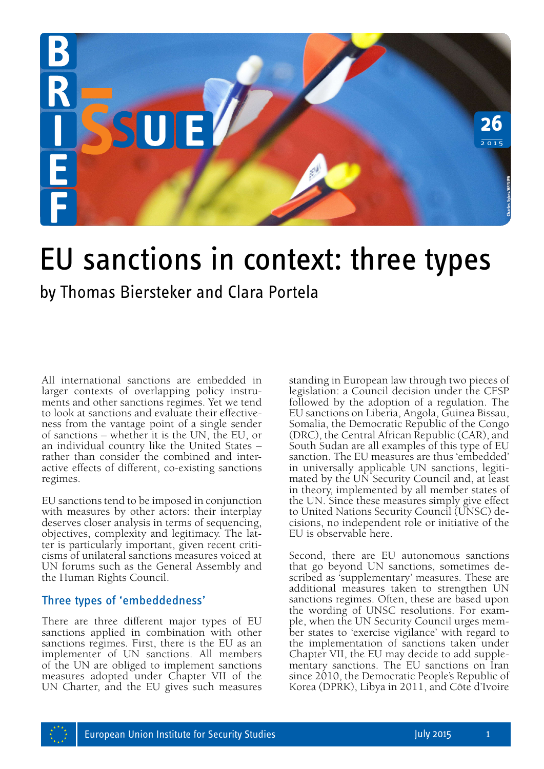

# EU sanctions in context: three types

by Thomas Biersteker and Clara Portela

All international sanctions are embedded in larger contexts of overlapping policy instruments and other sanctions regimes. Yet we tend to look at sanctions and evaluate their effectiveness from the vantage point of a single sender of sanctions – whether it is the UN, the EU, or an individual country like the United States – rather than consider the combined and interactive effects of different, co-existing sanctions regimes.

EU sanctions tend to be imposed in conjunction with measures by other actors: their interplay deserves closer analysis in terms of sequencing, objectives, complexity and legitimacy. The latter is particularly important, given recent criticisms of unilateral sanctions measures voiced at UN forums such as the General Assembly and the Human Rights Council.

## Three types of 'embeddedness'

There are three different major types of EU sanctions applied in combination with other sanctions regimes. First, there is the EU as an implementer of UN sanctions. All members of the UN are obliged to implement sanctions measures adopted under Chapter VII of the UN Charter, and the EU gives such measures standing in European law through two pieces of legislation: a Council decision under the CFSP followed by the adoption of a regulation. The EU sanctions on Liberia, Angola, Guinea Bissau, Somalia, the Democratic Republic of the Congo (DRC), the Central African Republic (CAR), and South Sudan are all examples of this type of EU sanction. The EU measures are thus 'embedded' in universally applicable UN sanctions, legiti- mated by the UN Security Council and, at least in theory, implemented by all member states of the UN. Since these measures simply give effect to United Nations Security Council (UNSC) decisions, no independent role or initiative of the EU is observable here. **EXT: Three Types**<br> **EXT: Three Types**<br> **Exploring the adopton of a regulation:** a Council decision under the CFSP<br>
followed by the adoption of a regulation. The<br>
EU sanctions on Liberia, Angola, Guinea Bissau,<br>
Somalia, t

Second, there are EU autonomous sanctions that go beyond UN sanctions, sometimes described as 'supplementary' measures. These are additional measures taken to strengthen UN sanctions regimes. Often, these are based upon the wording of UNSC resolutions. For example, when the UN Security Council urges mem- ber states to 'exercise vigilance' with regard to the implementation of sanctions taken under Chapter VII, the EU may decide to add supplementary sanctions. The EU sanctions on Iran since 2010, the Democratic People's Republic of Korea (DPRK), Libya in 2011, and Côte d'Ivoire

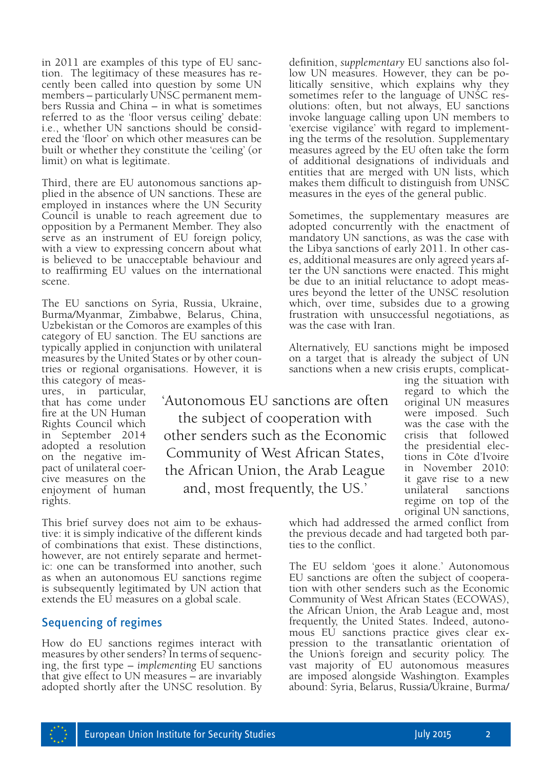in 2011 are examples of this type of EU sanccently been called into question by some UN members – particularly UNSC permanent members Russia and China – in what is sometimes referred to as the 'floor versus ceiling' debate: i.e., whether UN sanctions should be consid- ered the 'floor' on which other measures can be built or whether they constitute the 'ceiling' (or limit) on what is legitimate.

Third, there are EU autonomous sanctions applied in the absence of UN sanctions. These are employed in instances where the UN Security Council is unable to reach agreement due to opposition by a Permanent Member. They also serve as an instrument of EU foreign policy, with a view to expressing concern about what is believed to be unacceptable behaviour and to reaffirming EU values on the international scene.

The EU sanctions on Syria, Russia, Ukraine, Burma/Myanmar, Zimbabwe, Belarus, China, Uzbekistan or the Comoros are examples of this category of EU sanction. The EU sanctions are typically applied in conjunction with unilateral measures by the United States or by other countries or regional organisations. However, it is this category of meas-

ures, in particular, that has come under fire at the UN Human Rights Council which in September 2014 adopted a resolution on the negative impact of unilateral coercive measures on the enjoyment of human rights.

'Autonomous EU sanctions are often the subject of cooperation with other senders such as the Economic Community of West African States, the African Union, the Arab League and, most frequently, the US.'

This brief survey does not aim to be exhaustive: it is simply indicative of the different kinds of combinations that exist. These distinctions, however, are not entirely separate and hermet-<br>ic: one can be transformed into another, such as when an autonomous EU sanctions regime is subsequently legitimated by UN action that extends the EU measures on a global scale.

## Sequencing of regimes

How do EU sanctions regimes interact with measures by other senders? In terms of sequencing, the first type – *implementing* EU sanctions that give effect to UN measures – are invariably adopted shortly after the UNSC resolution. By definition, *supplementary* EU sanctions also follow UN measures. However, they can be po- litically sensitive, which explains why they sometimes refer to the language of UNSC resolutions: often, but not always, EU sanctions invoke language calling upon UN members to 'exercise vigilance' with regard to implement- ing the terms of the resolution. Supplementary measures agreed by the EU often take the form of additional designations of individuals and entities that are merged with UN lists, which makes them difficult to distinguish from UNSC measures in the eyes of the general public.

Sometimes, the supplementary measures are adopted concurrently with the enactment of mandatory UN sanctions, as was the case with the Libya sanctions of early 2011. In other cases, additional measures are only agreed years after the UN sanctions were enacted. This might be due to an initial reluctance to adopt measures beyond the letter of the UNSC resolution which, over time, subsides due to a growing frustration with unsuccessful negotiations, as was the case with Iran.

Alternatively, EU sanctions might be imposed on a target that is already the subject of UN sanctions when a new crisis erupts, complicat-

ing the situation with regard to which the original UN measures were imposed. Such was the case with the crisis that followed the presidential elections in Côte d'Ivoire in November 2010: it gave rise to a new unilateral sanctions regime on top of the original UN sanctions,

which had addressed the armed conflict from the previous decade and had targeted both parties to the conflict.

The EU seldom 'goes it alone.' Autonomous EU sanctions are often the subject of cooperation with other senders such as the Economic Community of West African States (ECOWAS), the African Union, the Arab League and, most frequently, the United States. Indeed, autono- mous EU sanctions practice gives clear expression to the transatlantic orientation of the Union's foreign and security policy. The vast majority of EU autonomous measures are imposed alongside Washington. Examples abound: Syria, Belarus, Russia/Ukraine, Burma/

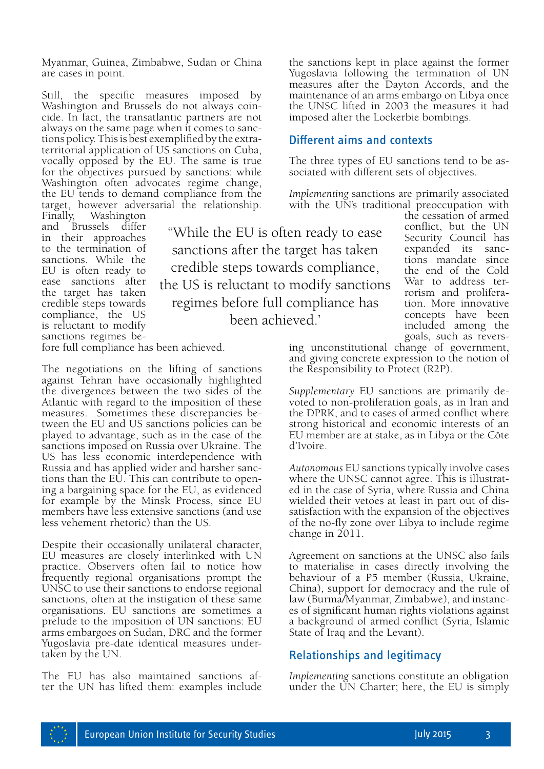Myanmar, Guinea, Zimbabwe, Sudan or China are cases in point.

Still, the specific measures imposed by<br>Washington and Brussels do not always coincide. In fact, the transatlantic partners are not always on the same page when it comes to sanctions policy. This is best exemplified by the extraterritorial application of US sanctions on Cuba, vocally opposed by the EU. The same is true for the objectives pursued by sanctions: while Washington often advocates regime change, the EU tends to demand compliance from the target, however adversarial the relationship.

Washington and Brussels differ in their approaches to the termination of sanctions. While the EU is often ready to ease sanctions after the target has taken credible steps towards compliance, the US is reluctant to modify sanctions regimes be-

''While the EU is often ready to ease sanctions after the target has taken credible steps towards compliance, the US is reluctant to modify sanctions regimes before full compliance has been achieved.'

fore full compliance has been achieved.

The negotiations on the lifting of sanctions against Tehran have occasionally highlighted the divergences between the two sides of the Atlantic with regard to the imposition of these measures. Sometimes these discrepancies between the EU and US sanctions policies can be played to advantage, such as in the case of the sanctions imposed on Russia over Ukraine. The US has less economic interdependence with Russia and has applied wider and harsher sanctions than the EU. This can contribute to opening a bargaining space for the EU, as evidenced for example by the Minsk Process, since EU members have less extensive sanctions (and use less vehement rhetoric) than the US.

Despite their occasionally unilateral character, EU measures are closely interlinked with UN practice. Observers often fail to notice how frequently regional organisations prompt the UNSC to use their sanctions to endorse regional sanctions, often at the instigation of these same organisations. EU sanctions are sometimes a prelude to the imposition of UN sanctions: EU arms embargoes on Sudan, DRC and the former Yugoslavia pre-date identical measures undertaken by the UN.

The EU has also maintained sanctions after the UN has lifted them: examples include the sanctions kept in place against the former Yugoslavia following the termination of UN measures after the Dayton Accords, and the maintenance of an arms embargo on Libya once the UNSC lifted in 2003 the measures it had imposed after the Lockerbie bombings.

#### Different aims and contexts

The three types of EU sanctions tend to be associated with different sets of objectives.

*Implementing* sanctions are primarily associated with the UN's traditional preoccupation with

the cessation of armed conflict, but the UN Security Council has expanded its sanctions mandate since the end of the Cold War to address terrorism and proliferation. More innovative concepts have been included among the goals, such as revers-

ing unconstitutional change of government, and giving concrete expression to the notion of the Responsibility to Protect (R2P).

*Supplementary* EU sanctions are primarily devoted to non-proliferation goals, as in Iran and the DPRK, and to cases of armed conflict where strong historical and economic interests of an EU member are at stake, as in Libya or the Côte d'Ivoire.

*Autonomous* EU sanctions typically involve cases where the UNSC cannot agree. This is illustrated in the case of Syria, where Russia and China wielded their vetoes at least in part out of dissatisfaction with the expansion of the objectives of the no-fly zone over Libya to include regime change in 2011.

Agreement on sanctions at the UNSC also fails to materialise in cases directly involving the behaviour of a P5 member (Russia, Ukraine, China), support for democracy and the rule of law (Burma/Myanmar, Zimbabwe), and instances of significant human rights violations against a background of armed conflict (Syria, Islamic State of Iraq and the Levant).

### Relationships and legitimacy

*Implementing* sanctions constitute an obligation under the UN Charter; here, the EU is simply